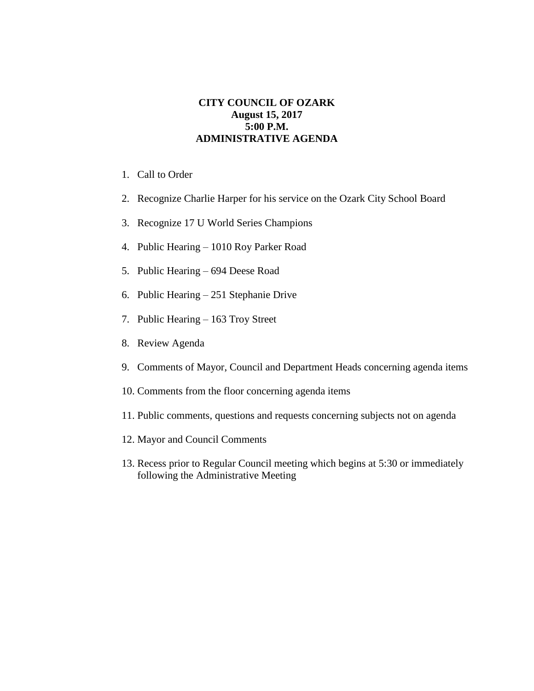## **CITY COUNCIL OF OZARK August 15, 2017 5:00 P.M. ADMINISTRATIVE AGENDA**

- 1. Call to Order
- 2. Recognize Charlie Harper for his service on the Ozark City School Board
- 3. Recognize 17 U World Series Champions
- 4. Public Hearing 1010 Roy Parker Road
- 5. Public Hearing 694 Deese Road
- 6. Public Hearing 251 Stephanie Drive
- 7. Public Hearing 163 Troy Street
- 8. Review Agenda
- 9. Comments of Mayor, Council and Department Heads concerning agenda items
- 10. Comments from the floor concerning agenda items
- 11. Public comments, questions and requests concerning subjects not on agenda
- 12. Mayor and Council Comments
- 13. Recess prior to Regular Council meeting which begins at 5:30 or immediately following the Administrative Meeting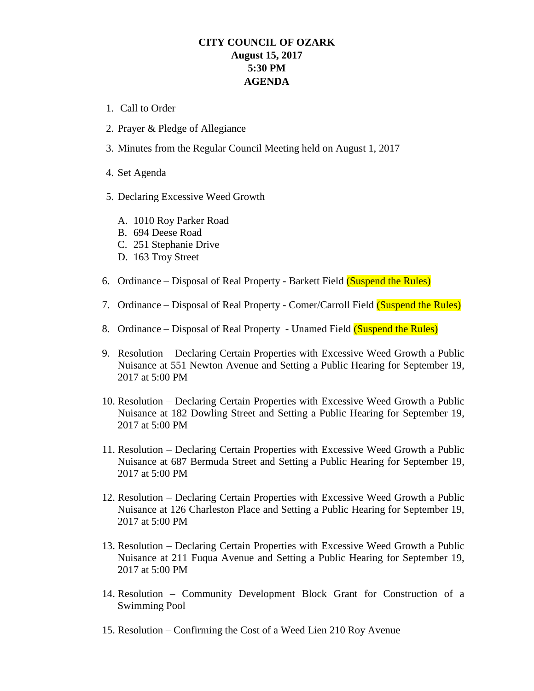## **CITY COUNCIL OF OZARK August 15, 2017 5:30 PM AGENDA**

- 1. Call to Order
- 2. Prayer & Pledge of Allegiance
- 3. Minutes from the Regular Council Meeting held on August 1, 2017
- 4. Set Agenda
- 5. Declaring Excessive Weed Growth
	- A. 1010 Roy Parker Road
	- B. 694 Deese Road
	- C. 251 Stephanie Drive
	- D. 163 Troy Street
- 6. Ordinance Disposal of Real Property Barkett Field (Suspend the Rules)
- 7. Ordinance Disposal of Real Property Comer/Carroll Field (Suspend the Rules)
- 8. Ordinance Disposal of Real Property Unamed Field (Suspend the Rules)
- 9. Resolution Declaring Certain Properties with Excessive Weed Growth a Public Nuisance at 551 Newton Avenue and Setting a Public Hearing for September 19, 2017 at 5:00 PM
- 10. Resolution Declaring Certain Properties with Excessive Weed Growth a Public Nuisance at 182 Dowling Street and Setting a Public Hearing for September 19, 2017 at 5:00 PM
- 11. Resolution Declaring Certain Properties with Excessive Weed Growth a Public Nuisance at 687 Bermuda Street and Setting a Public Hearing for September 19, 2017 at 5:00 PM
- 12. Resolution Declaring Certain Properties with Excessive Weed Growth a Public Nuisance at 126 Charleston Place and Setting a Public Hearing for September 19, 2017 at 5:00 PM
- 13. Resolution Declaring Certain Properties with Excessive Weed Growth a Public Nuisance at 211 Fuqua Avenue and Setting a Public Hearing for September 19, 2017 at 5:00 PM
- 14. Resolution Community Development Block Grant for Construction of a Swimming Pool
- 15. Resolution Confirming the Cost of a Weed Lien 210 Roy Avenue